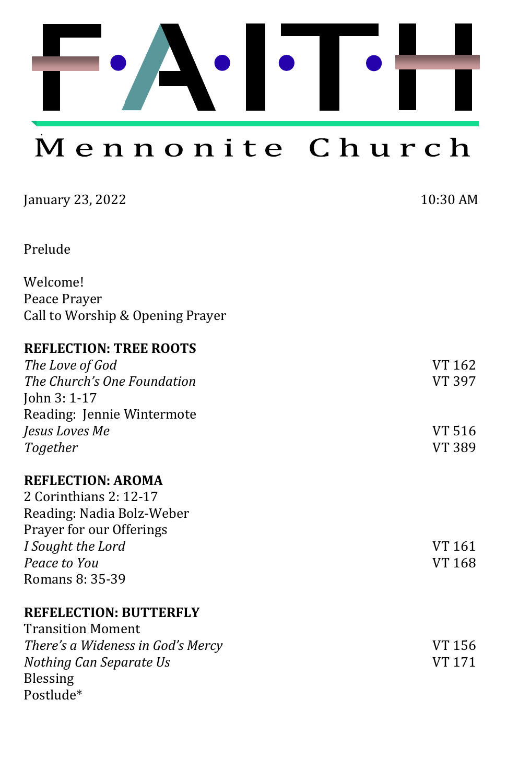

Mennonite Church

| January 23, 2022                  | 10:30 AM |
|-----------------------------------|----------|
| Prelude                           |          |
| Welcome!                          |          |
| Peace Prayer                      |          |
| Call to Worship & Opening Prayer  |          |
| <b>REFLECTION: TREE ROOTS</b>     |          |
| The Love of God                   | VT 162   |
| The Church's One Foundation       | VT 397   |
| John 3: 1-17                      |          |
| Reading: Jennie Wintermote        |          |
| Jesus Loves Me                    | VT 516   |
| Together                          | VT 389   |
| <b>REFLECTION: AROMA</b>          |          |
| 2 Corinthians 2: 12-17            |          |
| Reading: Nadia Bolz-Weber         |          |
| Prayer for our Offerings          |          |
| I Sought the Lord                 | VT 161   |
| Peace to You                      | VT 168   |
| Romans 8: 35-39                   |          |
| <b>REFELECTION: BUTTERFLY</b>     |          |
| <b>Transition Moment</b>          |          |
| There's a Wideness in God's Mercy | VT 156   |
| Nothing Can Separate Us           | VT 171   |
| <b>Blessing</b>                   |          |
| Postlude*                         |          |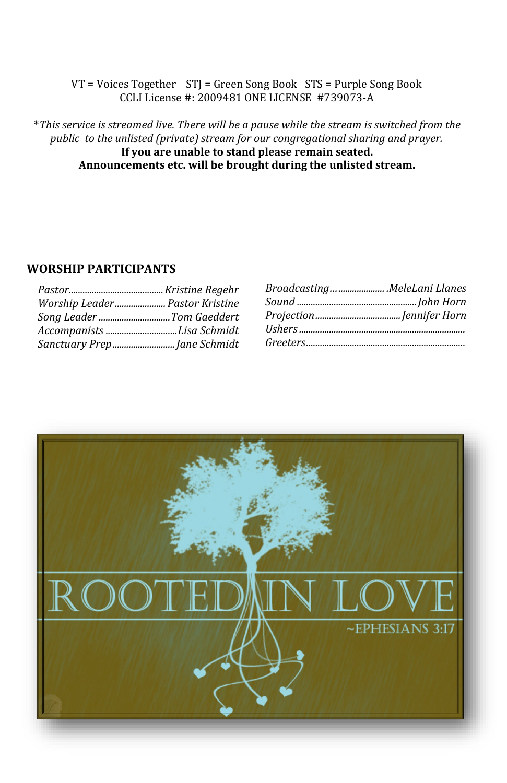#### VT = Voices Together STJ = Green Song Book STS = Purple Song Book CCLI License #: 2009481 ONE LICENSE #739073-A

\**This service is streamed live. There will be a pause while the stream is switched from the public to the unlisted (private) stream for our congregational sharing and prayer.*  **If you are unable to stand please remain seated. Announcements etc. will be brought during the unlisted stream.**

### **WORSHIP PARTICIPANTS**

| Worship Leader Pastor Kristine |  |
|--------------------------------|--|
| Song Leader Tom Gaeddert       |  |
| Accompanists Lisa Schmidt      |  |
|                                |  |

| BroadcastingMeleLani Llanes |  |
|-----------------------------|--|
|                             |  |
|                             |  |
|                             |  |
|                             |  |

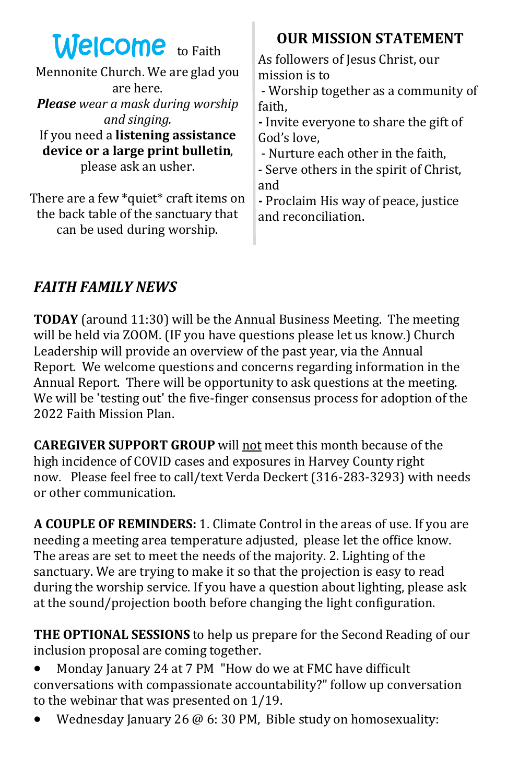| <b>Welcome</b> to Faith                        | <b>OUR MISSION STATEMENT</b>                                                               |
|------------------------------------------------|--------------------------------------------------------------------------------------------|
| Mennonite Church. We are glad you<br>are here. | As followers of Jesus Christ, our<br>mission is to<br>- Worship together as a community of |
| <b>Please</b> wear a mask during worship       | faith,                                                                                     |
| and singing.                                   | - Invite everyone to share the gift of                                                     |
| If you need a listening assistance             | God's love,                                                                                |
| device or a large print bulletin,              | - Nurture each other in the faith,                                                         |
| please ask an usher.                           | - Serve others in the spirit of Christ,                                                    |
| There are a few *quiet* craft items on         | and                                                                                        |
| the back table of the sanctuary that           | - Proclaim His way of peace, justice                                                       |
| can be used during worship.                    | and reconciliation.                                                                        |

T

## *FAITH FAMILY NEWS*

**TODAY** (around 11:30) will be the Annual Business Meeting. The meeting will be held via ZOOM. (IF you have questions please let us know.) Church Leadership will provide an overview of the past year, via the Annual Report. We welcome questions and concerns regarding information in the Annual Report. There will be opportunity to ask questions at the meeting. We will be 'testing out' the five-finger consensus process for adoption of the 2022 Faith Mission Plan.

**CAREGIVER SUPPORT GROUP** will not meet this month because of the high incidence of COVID cases and exposures in Harvey County right now. Please feel free to call/text Verda Deckert (316-283-3293) with needs or other communication.

**A COUPLE OF REMINDERS:** 1. Climate Control in the areas of use. If you are needing a meeting area temperature adjusted, please let the office know. The areas are set to meet the needs of the majority. 2. Lighting of the sanctuary. We are trying to make it so that the projection is easy to read during the worship service. If you have a question about lighting, please ask at the sound/projection booth before changing the light configuration.

**THE OPTIONAL SESSIONS** to help us prepare for the Second Reading of our inclusion proposal are coming together.

- Monday January 24 at 7 PM "How do we at FMC have difficult conversations with compassionate accountability?" follow up conversation to the webinar that was presented on 1/19.
- Wednesday January 26 @ 6: 30 PM, Bible study on homosexuality: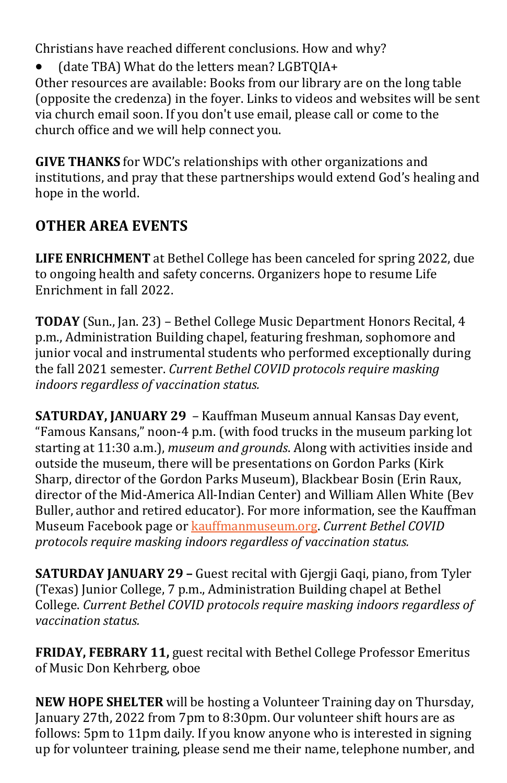Christians have reached different conclusions. How and why?

• (date TBA) What do the letters mean? LGBTQIA+ Other resources are available: Books from our library are on the long table (opposite the credenza) in the foyer. Links to videos and websites will be sent via church email soon. If you don't use email, please call or come to the church office and we will help connect you.

**GIVE THANKS** for WDC's relationships with other organizations and institutions, and pray that these partnerships would extend God's healing and hope in the world.

# **OTHER AREA EVENTS**

**LIFE ENRICHMENT** at Bethel College has been canceled for spring 2022, due to ongoing health and safety concerns. Organizers hope to resume Life Enrichment in fall 2022.

**TODAY** (Sun., Jan. 23) – Bethel College Music Department Honors Recital, 4 p.m., Administration Building chapel, featuring freshman, sophomore and junior vocal and instrumental students who performed exceptionally during the fall 2021 semester. *Current Bethel COVID protocols require masking indoors regardless of vaccination status.*

**SATURDAY, JANUARY 29** – Kauffman Museum annual Kansas Day event, "Famous Kansans," noon-4 p.m. (with food trucks in the museum parking lot starting at 11:30 a.m.), *museum and grounds*. Along with activities inside and outside the museum, there will be presentations on Gordon Parks (Kirk Sharp, director of the Gordon Parks Museum), Blackbear Bosin (Erin Raux, director of the Mid-America All-Indian Center) and William Allen White (Bev Buller, author and retired educator). For more information, see the Kauffman Museum Facebook page or [kauffmanmuseum.org.](http://kauffmanmuseum.org) *Current Bethel COVID protocols require masking indoors regardless of vaccination status.*

**SATURDAY JANUARY 29 –** Guest recital with Gjergji Gaqi, piano, from Tyler (Texas) Junior College, 7 p.m., Administration Building chapel at Bethel College. *Current Bethel COVID protocols require masking indoors regardless of vaccination status.*

**FRIDAY, FEBRARY 11,** guest recital with Bethel College Professor Emeritus of Music Don Kehrberg, oboe

**NEW HOPE SHELTER** will be hosting a Volunteer Training day on Thursday, January 27th, 2022 from 7pm to 8:30pm. Our volunteer shift hours are as follows: 5pm to 11pm daily. If you know anyone who is interested in signing up for volunteer training, please send me their name, telephone number, and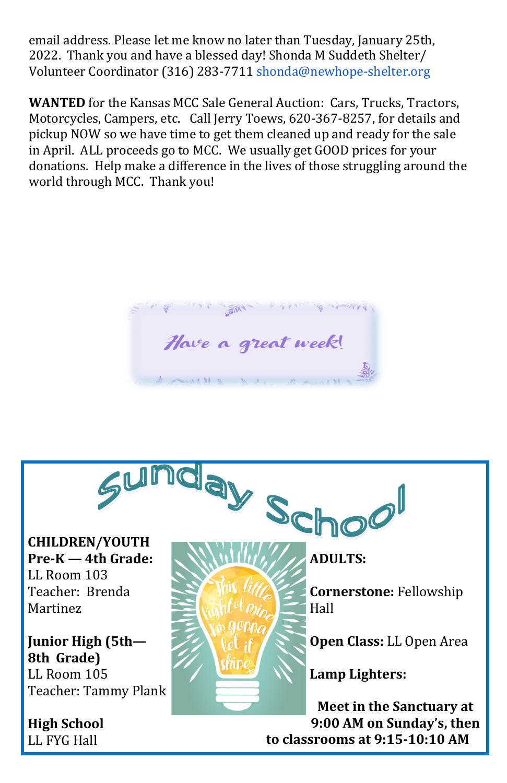email address. Please let me know no later than Tuesday, January 25th, 2022. Thank you and have a blessed day! Shonda M Suddeth Shelter/ Volunteer Coordinator (316) 283-7711 [shonda@newhope](mailto:Brian@newhope-shelter.org)-shelter.org

**WANTED** for the Kansas MCC Sale General Auction: Cars, Trucks, Tractors, Motorcycles, Campers, etc. Call Jerry Toews, 620-367-8257, for details and pickup NOW so we have time to get them cleaned up and ready for the sale in April. ALL proceeds go to MCC. We usually get GOOD prices for your donations. Help make a difference in the lives of those struggling around the world through MCC. Thank you!

高兴 Have a great week!